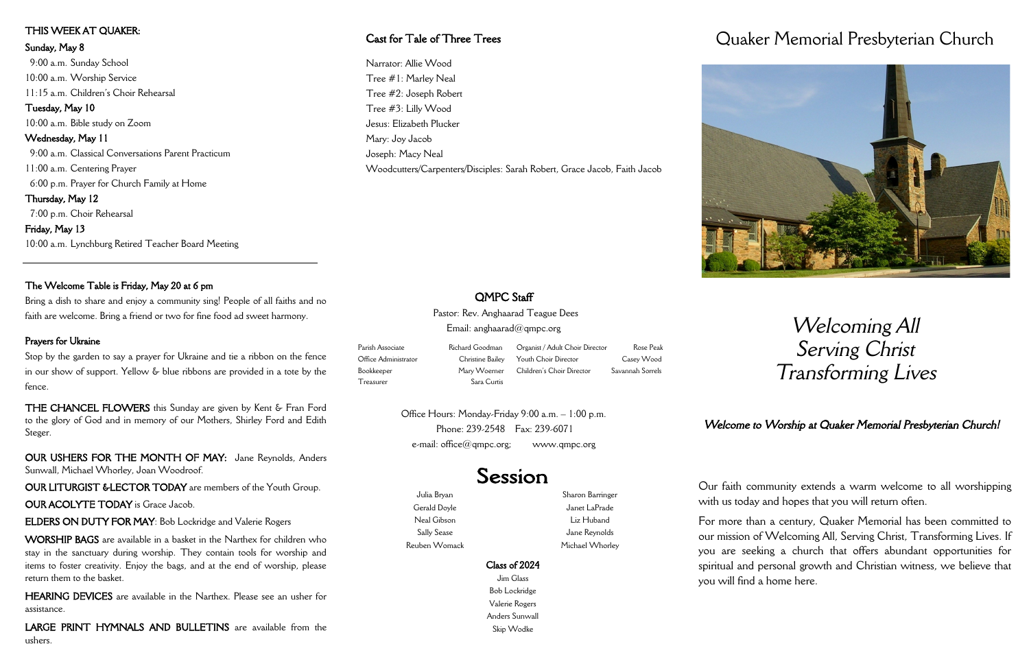Julia Bryan Gerald Doyle Neal Gibson Sally Sease Reuben Womack

Sharon Barringer Janet LaPrade Liz Huband Jane Reynolds Michael Whorley

# Class of 2024

Jim Glass Bob Lockridge Valerie Rogers Anders Sunwall Skip Wodke

# Quaker Memorial Presbyterian Church

# *Welcoming All Serving Christ Transforming Lives*

Our faith community extends a warm welcome to all worshipping with us today and hopes that you will return often.

Office Hours: Monday-Friday 9:00 a.m. – 1:00 p.m. Phone: 239-2548 Fax: 239-6071 e-mail:  $office@qmpc.org;$  www.qmpc.org

Session

For more than a century, Quaker Memorial has been committed to our mission of Welcoming All, Serving Christ, Transforming Lives. If you are seeking a church that offers abundant opportunities for spiritual and personal growth and Christian witness, we believe that you will find a home here.

Pastor: Rev. Anghaarad Teague Dees Email: anghaarad@qmpc.org

Parish Associate **Richard Goodman** Office Administrator Christine Bailey Bookkeeper Mary Woerner Treasurer Sara Curtis

Organist / Adult Choir Director Rose Peak Youth Choir Director Casey Wood Children's Choir Director Savannah Sorrels

# THIS WEEK AT QUAKER:

### Sunday, May 8

 9:00 a.m. Sunday School 10:00 a.m. Worship Service 11:15 a.m. Children's Choir Rehearsal Tuesday, May 10 10:00 a.m. Bible study on Zoom Wednesday, May 11 9:00 a.m. Classical Conversations Parent Practicum 11:00 a.m. Centering Prayer 6:00 p.m. Prayer for Church Family at Home Thursday, May 12 7:00 p.m. Choir Rehearsal Friday, May 13 10:00 a.m. Lynchburg Retired Teacher Board Meeting

## The Welcome Table is Friday, May 20 at 6 pm

Bring a dish to share and enjoy a community sing! People of all faiths and no faith are welcome. Bring a friend or two for fine food ad sweet harmony.

### Prayers for Ukraine

Stop by the garden to say a prayer for Ukraine and tie a ribbon on the fence in our show of support. Yellow & blue ribbons are provided in a tote by the fence.

THE CHANCEL FLOWERS this Sunday are given by Kent & Fran Ford to the glory of God and in memory of our Mothers, Shirley Ford and Edith Steger.

OUR USHERS FOR THE MONTH OF MAY: Jane Reynolds, Anders Sunwall, Michael Whorley, Joan Woodroof.

OUR LITURGIST &LECTOR TODAY are members of the Youth Group.

### OUR ACOLYTE TODAY is Grace Jacob.

ELDERS ON DUTY FOR MAY: Bob Lockridge and Valerie Rogers

WORSHIP BAGS are available in a basket in the Narthex for children who stay in the sanctuary during worship. They contain tools for worship and items to foster creativity. Enjoy the bags, and at the end of worship, please return them to the basket.

HEARING DEVICES are available in the Narthex. Please see an usher for assistance.

LARGE PRINT HYMNALS AND BULLETINS are available from the ushers.

# *Welcome to Worship at Quaker Memorial Presbyterian Church!*

# Cast for Tale of Three Trees

Narrator: Allie Wood Tree #1: Marley Neal Tree #2: Joseph Robert Tree #3: Lilly Wood Jesus: Elizabeth Plucker Mary: Joy Jacob Joseph: Macy Neal Woodcutters/Carpenters/Disciples: Sarah Robert, Grace Jacob, Faith Jacob



# OMPC Staff